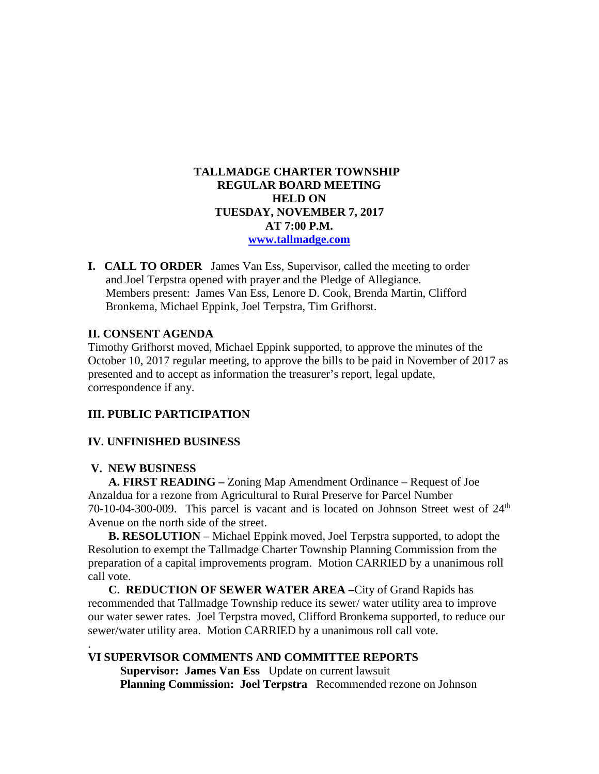## **TALLMADGE CHARTER TOWNSHIP REGULAR BOARD MEETING HELD ON TUESDAY, NOVEMBER 7, 2017 AT 7:00 P.M. [www.tallmadge.com](http://www.tallmadge.com/)**

**I. CALL TO ORDER** James Van Ess, Supervisor, called the meeting to order and Joel Terpstra opened with prayer and the Pledge of Allegiance. Members present: James Van Ess, Lenore D. Cook, Brenda Martin, Clifford Bronkema, Michael Eppink, Joel Terpstra, Tim Grifhorst.

## **II. CONSENT AGENDA**

Timothy Grifhorst moved, Michael Eppink supported, to approve the minutes of the October 10, 2017 regular meeting, to approve the bills to be paid in November of 2017 as presented and to accept as information the treasurer's report, legal update, correspondence if any.

### **III. PUBLIC PARTICIPATION**

#### **IV. UNFINISHED BUSINESS**

#### **V. NEW BUSINESS**

.

 **A. FIRST READING –** Zoning Map Amendment Ordinance – Request of Joe Anzaldua for a rezone from Agricultural to Rural Preserve for Parcel Number 70-10-04-300-009. This parcel is vacant and is located on Johnson Street west of  $24<sup>th</sup>$ Avenue on the north side of the street.

 **B. RESOLUTION** – Michael Eppink moved, Joel Terpstra supported, to adopt the Resolution to exempt the Tallmadge Charter Township Planning Commission from the preparation of a capital improvements program. Motion CARRIED by a unanimous roll call vote.

 **C. REDUCTION OF SEWER WATER AREA –**City of Grand Rapids has recommended that Tallmadge Township reduce its sewer/ water utility area to improve our water sewer rates. Joel Terpstra moved, Clifford Bronkema supported, to reduce our sewer/water utility area. Motion CARRIED by a unanimous roll call vote.

## **VI SUPERVISOR COMMENTS AND COMMITTEE REPORTS**

**Supervisor: James Van Ess** Update on current lawsuit **Planning Commission: Joel Terpstra** Recommended rezone on Johnson